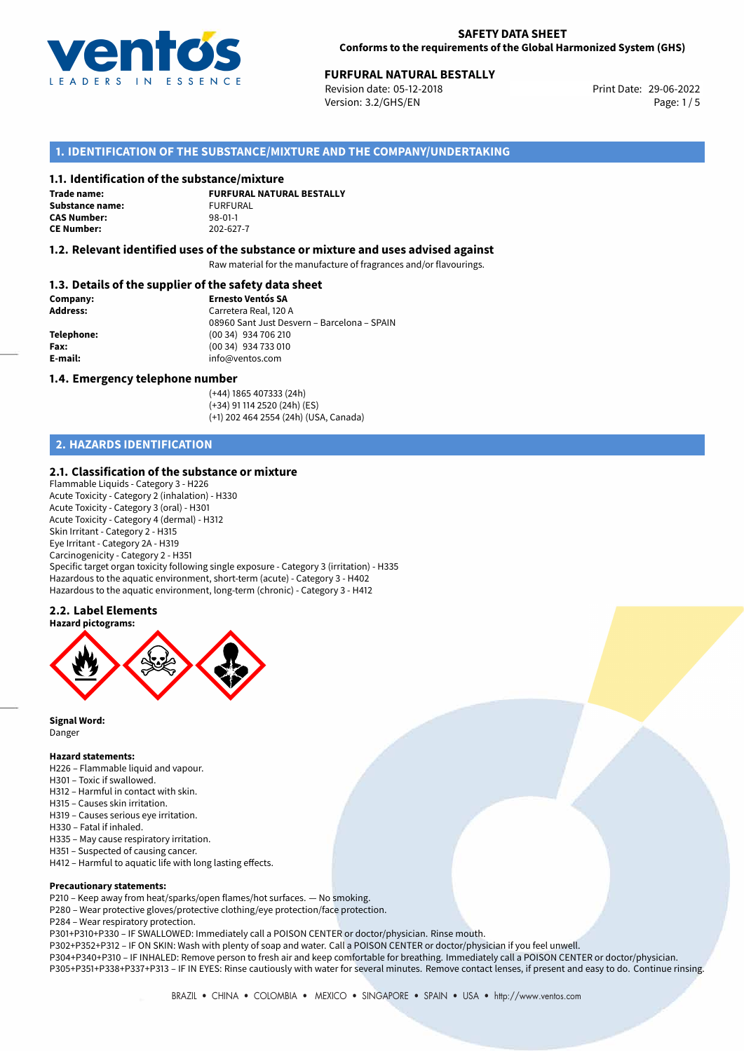

## **FURFURAL NATURAL BESTALLY**<br>
Revision date: 05-12-2018<br> **Print Date: 29-06-2022**

Revision date: 05-12-2018 Version: 3.2/GHS/EN Page: 1/5

### **1. IDENTIFICATION OF THE SUBSTANCE/MIXTURE AND THE COMPANY/UNDERTAKING**

#### **1.1. Identification of the substance/mixture**

**Trade name: Substance name:** FURFURAL<br> **CAS Number:** 98-01-1 **CAS Number: CE Number:** 202-627-7

**FURFURAL NATURAL BESTALLY**

#### **1.2. Relevant identified uses of the substance or mixture and uses advised against**

Raw material for the manufacture of fragrances and/or flavourings.

#### **1.3. Details of the supplier of the safety data sheet**

| Company:        | <b>Ernesto Ventós SA</b>                    |  |
|-----------------|---------------------------------------------|--|
| <b>Address:</b> | Carretera Real, 120 A                       |  |
|                 | 08960 Sant Just Desvern - Barcelona - SPAIN |  |
| Telephone:      | (00 34) 934 706 210                         |  |
| Fax:            | (00 34) 934 733 010                         |  |
| E-mail:         | info@ventos.com                             |  |
|                 |                                             |  |

#### **1.4. Emergency telephone number**

(+44) 1865 407333 (24h) (+34) 91 114 2520 (24h) (ES) (+1) 202 464 2554 (24h) (USA, Canada)

## **2. HAZARDS IDENTIFICATION**

#### **2.1. Classification of the substance or mixture**

Flammable Liquids - Category 3 - H226 Acute Toxicity - Category 2 (inhalation) - H330 Acute Toxicity - Category 3 (oral) - H301 Acute Toxicity - Category 4 (dermal) - H312 Skin Irritant - Category 2 - H315 Eye Irritant - Category 2A - H319 Carcinogenicity - Category 2 - H351 Specific target organ toxicity following single exposure - Category 3 (irritation) - H335 Hazardous to the aquatic environment, short-term (acute) - Category 3 - H402 Hazardous to the aquatic environment, long-term (chronic) - Category 3 - H412

## **2.2. Label Elements**



**Signal Word:** Danger

#### **Hazard statements:**

- H226 Flammable liquid and vapour.
- H301 Toxic if swallowed.
- H312 Harmful in contact with skin.
- H315 Causes skin irritation.
- H319 Causes serious eye irritation.
- H330 Fatal if inhaled.
- H335 May cause respiratory irritation.
- H351 Suspected of causing cancer.
- H412 Harmful to aquatic life with long lasting effects.

#### **Precautionary statements:**

P210 – Keep away from heat/sparks/open flames/hot surfaces. — No smoking.

- P280 Wear protective gloves/protective clothing/eye protection/face protection.
- P284 Wear respiratory protection.

P301+P310+P330 – IF SWALLOWED: Immediately call a POISON CENTER or doctor/physician. Rinse mouth.

P302+P352+P312 – IF ON SKIN: Wash with plenty of soap and water. Call a POISON CENTER or doctor/physician if you feel unwell.

P304+P340+P310 – IF INHALED: Remove person to fresh air and keep comfortable for breathing. Immediately call a POISON CENTER or doctor/physician. P305+P351+P338+P337+P313 – IF IN EYES: Rinse cautiously with water for several minutes. Remove contact lenses, if present and easy to do. Continue rinsing.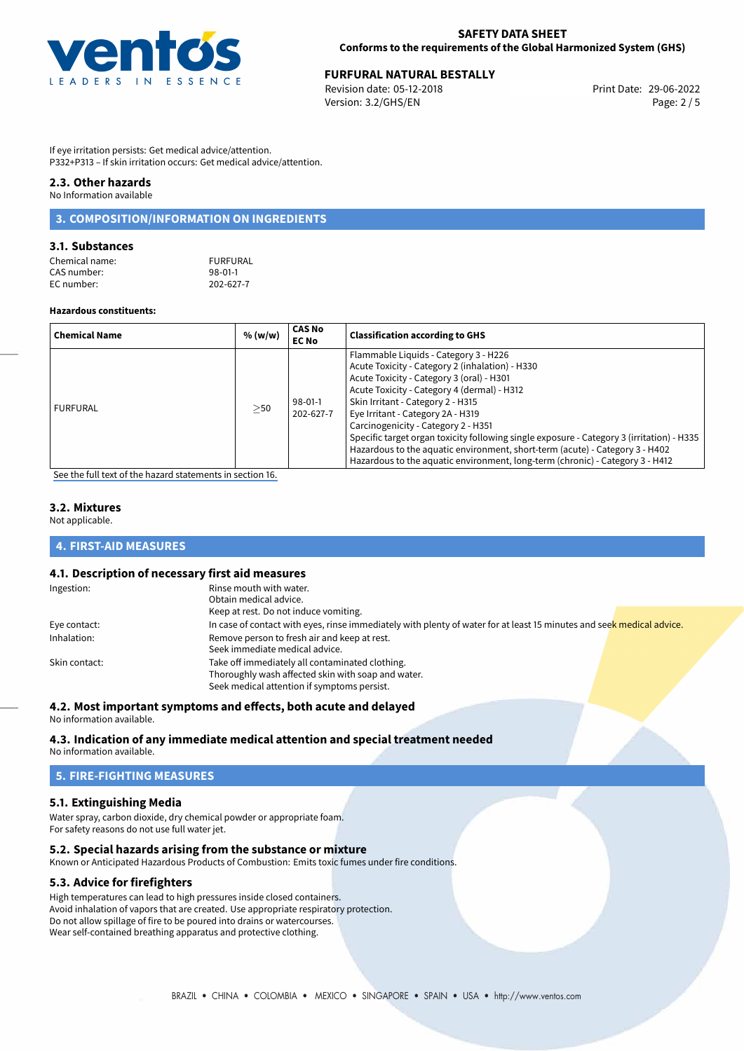

## **FURFURAL NATURAL BESTALLY**<br>
Revision date: 05-12-2018<br> **Print Date: 29-06-2022**

Revision date: 05-12-2018 Version: 3.2/GHS/EN Page: 2 / 5

If eye irritation persists: Get medical advice/attention. P332+P313 – If skin irritation occurs: Get medical advice/attention.

### **2.3. Other hazards**

No Information available

## **3. COMPOSITION/INFORMATION ON INGREDIENTS**

#### **3.1. Substances**

| FURFURAL      |
|---------------|
| $98 - 01 - 1$ |
| 202-627-7     |
|               |

#### **Hazardous constituents:**

| <b>Chemical Name</b> | % (w/w) | <b>CAS No</b><br><b>EC No</b> | <b>Classification according to GHS</b>                                                                                                                                                                                                                                                                                                                                                                                                                                                                                                                              |
|----------------------|---------|-------------------------------|---------------------------------------------------------------------------------------------------------------------------------------------------------------------------------------------------------------------------------------------------------------------------------------------------------------------------------------------------------------------------------------------------------------------------------------------------------------------------------------------------------------------------------------------------------------------|
| <b>FURFURAL</b>      | >50     | 98-01-1<br>202-627-7          | Flammable Liquids - Category 3 - H226<br>Acute Toxicity - Category 2 (inhalation) - H330<br>Acute Toxicity - Category 3 (oral) - H301<br>Acute Toxicity - Category 4 (dermal) - H312<br>Skin Irritant - Category 2 - H315<br>Eye Irritant - Category 2A - H319<br>Carcinogenicity - Category 2 - H351<br>Specific target organ toxicity following single exposure - Category 3 (irritation) - H335<br>Hazardous to the aquatic environment, short-term (acute) - Category 3 - H402<br>Hazardous to the aquatic environment, long-term (chronic) - Category 3 - H412 |

[See the full text of the hazard statements in section 16.](#page-4-0)

## **3.2. Mixtures**

Not applicable.

#### **4. FIRST-AID MEASURES**

## **4.1. Description of necessary first aid measures**

| Ingestion:    | Rinse mouth with water.                                                                                               |
|---------------|-----------------------------------------------------------------------------------------------------------------------|
|               | Obtain medical advice.                                                                                                |
|               | Keep at rest. Do not induce vomiting.                                                                                 |
| Eye contact:  | In case of contact with eyes, rinse immediately with plenty of water for at least 15 minutes and seek medical advice. |
| Inhalation:   | Remove person to fresh air and keep at rest.                                                                          |
|               | Seek immediate medical advice.                                                                                        |
| Skin contact: | Take off immediately all contaminated clothing.                                                                       |
|               | Thoroughly wash affected skin with soap and water.                                                                    |
|               | Seek medical attention if symptoms persist.                                                                           |

#### **4.2. Most important symptoms and effects, both acute and delayed**

No information available.

#### **4.3. Indication of any immediate medical attention and special treatment needed**

No information available.

#### **5. FIRE-FIGHTING MEASURES**

#### **5.1. Extinguishing Media**

Water spray, carbon dioxide, dry chemical powder or appropriate foam. For safety reasons do not use full water jet.

#### **5.2. Special hazards arising from the substance or mixture**

Known or Anticipated Hazardous Products of Combustion: Emits toxic fumes under fire conditions.

#### **5.3. Advice for firefighters**

High temperatures can lead to high pressures inside closed containers. Avoid inhalation of vapors that are created. Use appropriate respiratory protection. Do not allow spillage of fire to be poured into drains or watercourses. Wear self-contained breathing apparatus and protective clothing.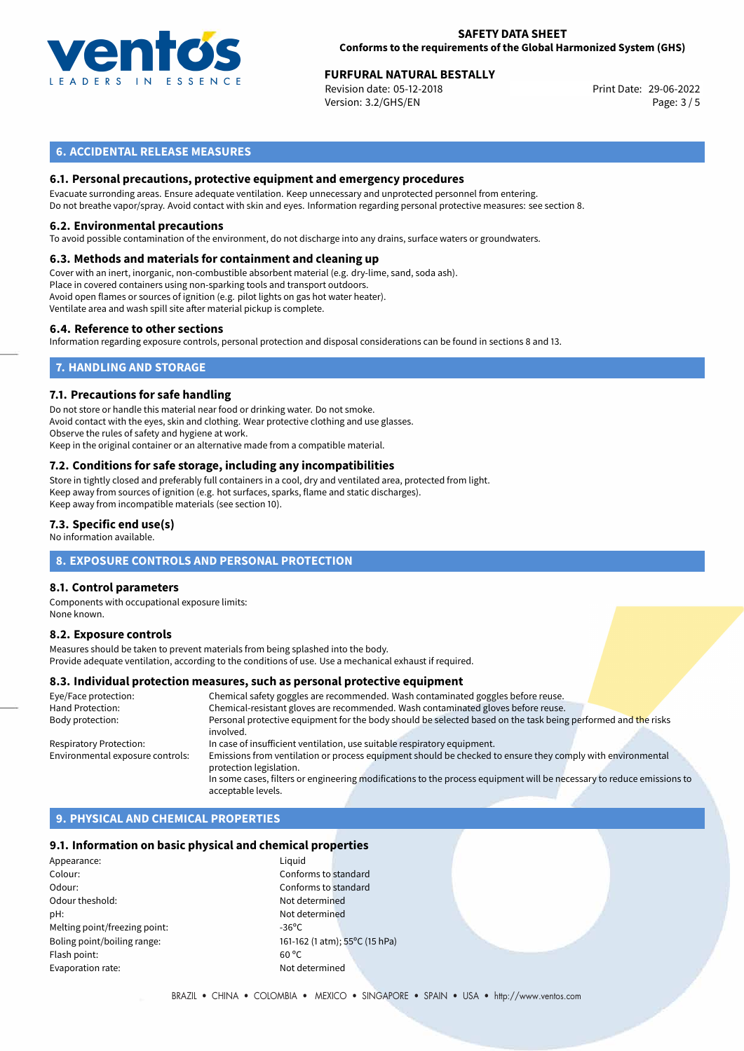

## **FURFURAL NATURAL BESTALLY**<br>
Revision date: 05-12-2018<br> **Print Date: 29-06-2022**

Revision date: 05-12-2018 Version: 3.2/GHS/EN Page: 3 / 5

### **6. ACCIDENTAL RELEASE MEASURES**

#### **6.1. Personal precautions, protective equipment and emergency procedures**

Evacuate surronding areas. Ensure adequate ventilation. Keep unnecessary and unprotected personnel from entering. Do not breathe vapor/spray. Avoid contact with skin and eyes. Information regarding personal protective measures: see section 8.

#### **6.2. Environmental precautions**

To avoid possible contamination of the environment, do not discharge into any drains, surface waters or groundwaters.

#### **6.3. Methods and materials for containment and cleaning up**

Cover with an inert, inorganic, non-combustible absorbent material (e.g. dry-lime, sand, soda ash). Place in covered containers using non-sparking tools and transport outdoors. Avoid open flames or sources of ignition (e.g. pilot lights on gas hot water heater). Ventilate area and wash spill site after material pickup is complete.

#### **6.4. Reference to other sections**

Information regarding exposure controls, personal protection and disposal considerations can be found in sections 8 and 13.

## **7. HANDLING AND STORAGE**

#### **7.1. Precautions for safe handling**

Do not store or handle this material near food or drinking water. Do not smoke. Avoid contact with the eyes, skin and clothing. Wear protective clothing and use glasses. Observe the rules of safety and hygiene at work. Keep in the original container or an alternative made from a compatible material.

## **7.2. Conditions for safe storage, including any incompatibilities**

Store in tightly closed and preferably full containers in a cool, dry and ventilated area, protected from light. Keep away from sources of ignition (e.g. hot surfaces, sparks, flame and static discharges). Keep away from incompatible materials (see section 10).

#### **7.3. Specific end use(s)**

No information available.

#### **8. EXPOSURE CONTROLS AND PERSONAL PROTECTION**

#### **8.1. Control parameters**

Components with occupational exposure limits: None known.

#### **8.2. Exposure controls**

Measures should be taken to prevent materials from being splashed into the body. Provide adequate ventilation, according to the conditions of use. Use a mechanical exhaust if required.

#### **8.3. Individual protection measures, such as personal protective equipment**

| Eye/Face protection:             | Chemical safety goggles are recommended. Wash contaminated goggles before reuse.                                                      |
|----------------------------------|---------------------------------------------------------------------------------------------------------------------------------------|
| Hand Protection:                 | Chemical-resistant gloves are recommended. Wash contaminated gloves before reuse.                                                     |
| Body protection:                 | Personal protective equipment for the body should be selected based on the task being performed and the risks<br>involved.            |
| <b>Respiratory Protection:</b>   | In case of insufficient ventilation, use suitable respiratory equipment.                                                              |
| Environmental exposure controls: | Emissions from ventilation or process equipment should be checked to ensure they comply with environmental<br>protection legislation. |
|                                  | In some cases, filters or engineering modifications to the process equipment will be necessary to reduce emissions to                 |
|                                  | acceptable levels.                                                                                                                    |

#### **9. PHYSICAL AND CHEMICAL PROPERTIES**

#### **9.1. Information on basic physical and chemical properties**

Appearance: Liquid Colour: Conforms to standard Odour: Conforms to standard Odour theshold: Not determined pH: Not determined Melting point/freezing point:  $-36^{\circ}$ C Flash point: 60 °C Evaporation rate: Not determined

Boling point/boiling range: 161-162 (1 atm); 55°C (15 hPa)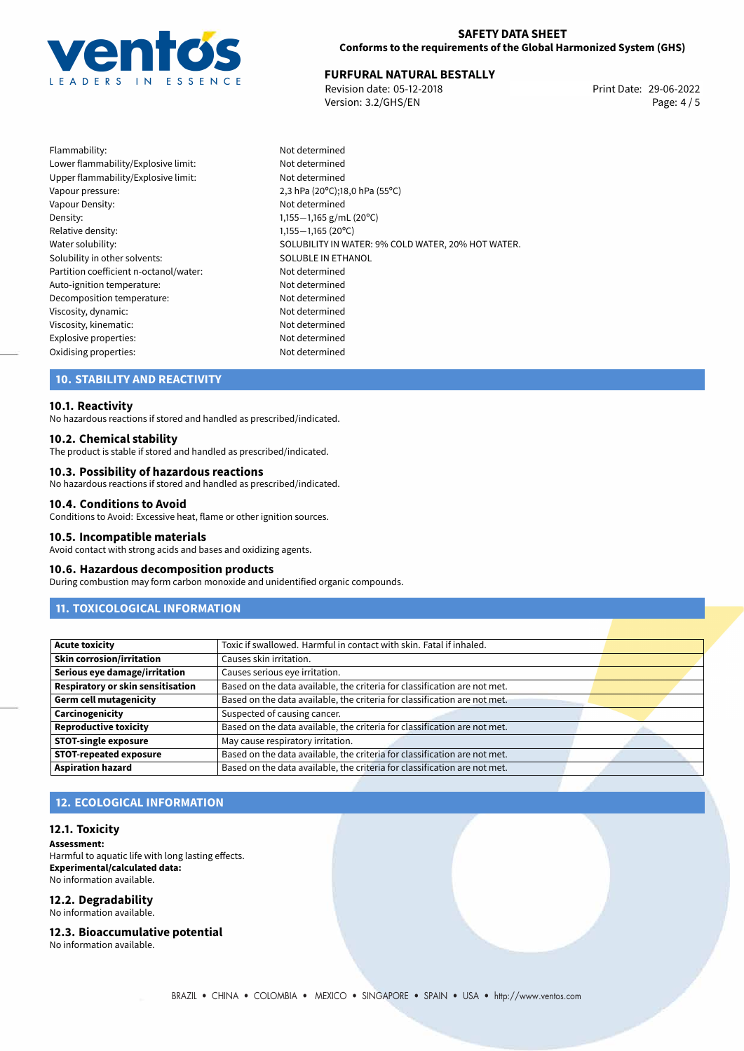

# 29-06-2022 **FURFURAL NATURAL BESTALLY**

Revision date: 05-12-2018 Version: 3.2/GHS/EN Page: 4 / 5

Flammability: Not determined Lower flammability/Explosive limit: Not determined Upper flammability/Explosive limit: Not determined Vapour pressure: 2,3 hPa (20ºC);18,0 hPa (55ºC) Vapour Density: Vapour Density: Density: 1,155−1,165 g/mL (20<sup>o</sup>C)<br>Relative density: 1,155−1,165 (20<sup>o</sup>C) Relative density: 1,155−1,165 (20°C)<br>Water solubility: 1,155−1,165 (20°C) Solubility in other solvents: SOLUBLE IN ETHANOL Partition coefficient n-octanol/water: Not determined Auto-ignition temperature: Not determined Decomposition temperature: Not determined Viscosity, dynamic: Not determined Viscosity, kinematic: Not determined Explosive properties: Not determined Oxidising properties: Not determined

SOLUBILITY IN WATER: 9% COLD WATER, 20% HOT WATER.

## **10. STABILITY AND REACTIVITY**

#### **10.1. Reactivity**

No hazardous reactions if stored and handled as prescribed/indicated.

#### **10.2. Chemical stability**

The product is stable if stored and handled as prescribed/indicated.

#### **10.3. Possibility of hazardous reactions**

No hazardous reactions if stored and handled as prescribed/indicated.

#### **10.4. Conditions to Avoid**

Conditions to Avoid: Excessive heat, flame or other ignition sources.

#### **10.5. Incompatible materials**

Avoid contact with strong acids and bases and oxidizing agents.

#### **10.6. Hazardous decomposition products**

During combustion may form carbon monoxide and unidentified organic compounds.

## **11. TOXICOLOGICAL INFORMATION**

| <b>Acute toxicity</b>                    | Toxic if swallowed. Harmful in contact with skin. Fatal if inhaled.       |  |
|------------------------------------------|---------------------------------------------------------------------------|--|
| <b>Skin corrosion/irritation</b>         | Causes skin irritation.                                                   |  |
| Serious eye damage/irritation            | Causes serious eye irritation.                                            |  |
| <b>Respiratory or skin sensitisation</b> | Based on the data available, the criteria for classification are not met. |  |
| <b>Germ cell mutagenicity</b>            | Based on the data available, the criteria for classification are not met. |  |
| Carcinogenicity                          | Suspected of causing cancer.                                              |  |
| <b>Reproductive toxicity</b>             | Based on the data available, the criteria for classification are not met. |  |
| <b>STOT-single exposure</b>              | May cause respiratory irritation.                                         |  |
| <b>STOT-repeated exposure</b>            | Based on the data available, the criteria for classification are not met. |  |
| <b>Aspiration hazard</b>                 | Based on the data available, the criteria for classification are not met. |  |

#### **12. ECOLOGICAL INFORMATION**

#### **12.1. Toxicity**

**Assessment:** Harmful to aquatic life with long lasting effects. **Experimental/calculated data:** No information available.

## **12.2. Degradability**

No information available.

#### **12.3. Bioaccumulative potential**

No information available.